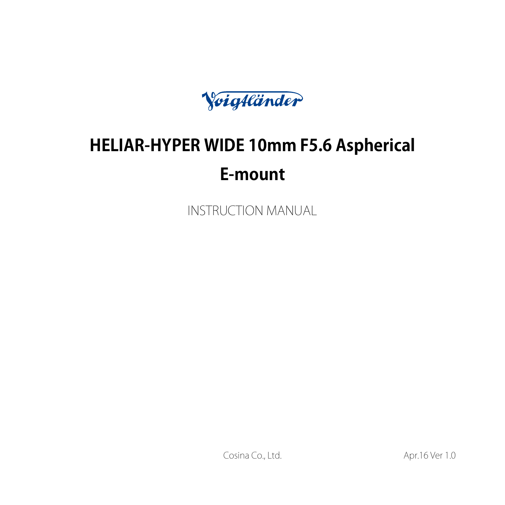Voigtländer

# **HELIAR-HYPER WIDE 10mm F5.6 Aspherical E-mount**

INSTRUCTION MANUAL

Cosina Co., Ltd. **Apr.16** Ver 1.0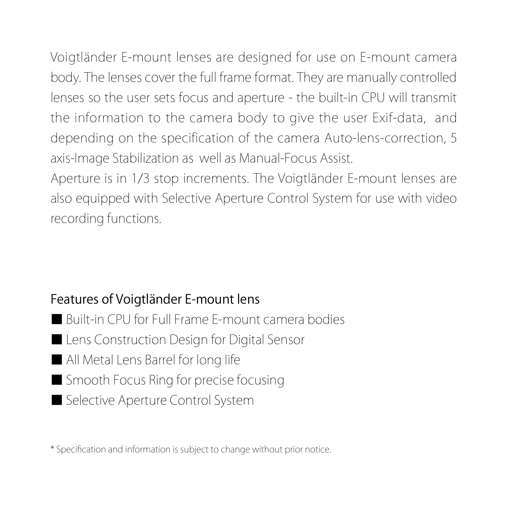Voigtländer E-mount lenses are designed for use on E-mount camera body. The lenses cover the full frame format. They are manually controlled lenses so the user sets focus and aperture - the built-in CPU will transmit the information to the camera body to give the user Exif-data, and depending on the specification of the camera Auto-lens-correction, 5 axis-Image Stabilization as well as Manual-Focus Assist.

Aperture is in 1/3 stop increments. The Voigtländer E-mount lenses are also equipped with Selective Aperture Control System for use with video recording functions.

## Features of Voigtländer E-mount lens

■ Built-in CPU for Full Frame E-mount camera bodies ■ Lens Construction Design for Digital Sensor ■ All Metal Lens Barrel for long life ■ Smooth Focus Ring for precise focusing ■ Selective Aperture Control System

\* Specification and information is subject to change without prior notice.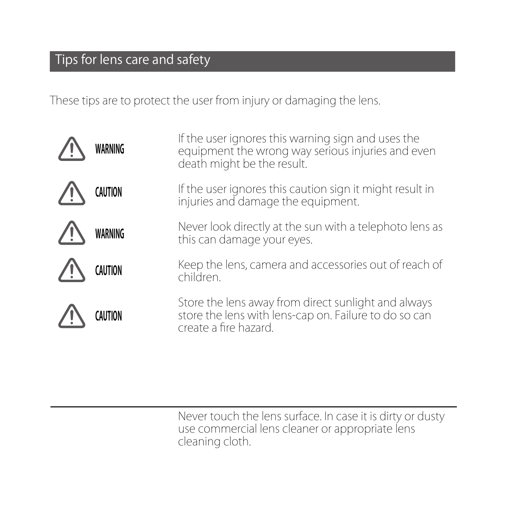# Tips for lens care and safety

These tips are to protect the user from injury or damaging the lens.

| WARNING        | If the user ignores this warning sign and uses the<br>equipment the wrong way serious injuries and even<br>death might be the result. |
|----------------|---------------------------------------------------------------------------------------------------------------------------------------|
| <b>CAUTION</b> | If the user ignores this caution sign it might result in<br>injuries and damage the equipment.                                        |
| WARNING        | Never look directly at the sun with a telephoto lens as<br>this can damage your eyes.                                                 |
| CAUTION        | Keep the lens, camera and accessories out of reach of<br>children.                                                                    |
|                | Store the lens away from direct sunlight and always<br>store the lens with lens-cap on. Failure to do so can<br>create a fire hazard. |
|                |                                                                                                                                       |

Never touch the lens surface. In case it is dirty or dusty use commercial lens cleaner or appropriate lens cleaning cloth.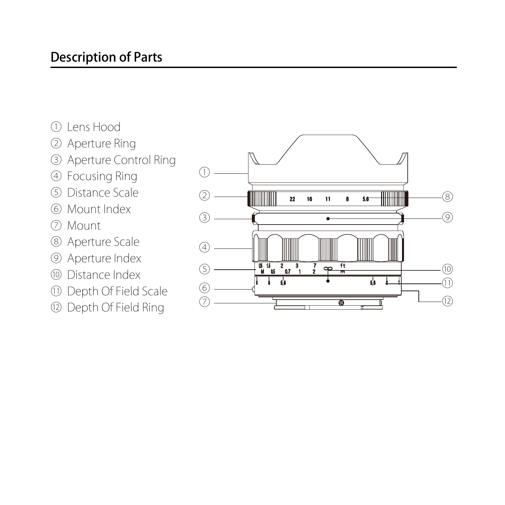# Description of Parts

- ① Lens Hood
- ② Aperture Ring
- ③ Aperture Control Ring
- ④ Focusing Ring
- ⑤ Distance Scale
- ⑥ Mount Index
- ⑦ Mount
- ⑧ Aperture Scale
- ⑨ Aperture Index
- ⑩ Distance Index
- ⑪ Depth Of Field Scale
- ⑫ Depth Of Field Ring

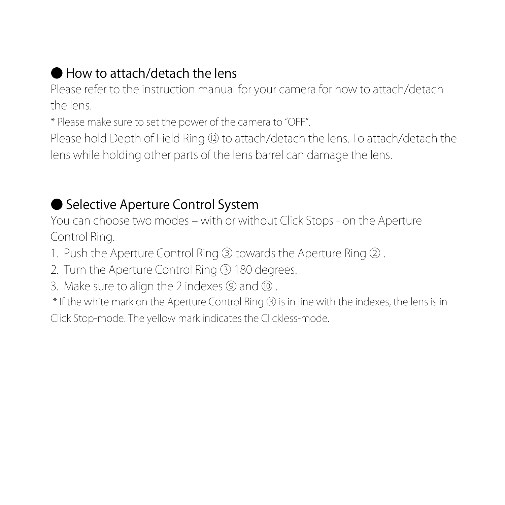# ● How to attach/detach the lens

Please refer to the instruction manual for your camera for how to attach/detach the lens.

\* Please make sure to set the power of the camera to "OFF".

Please hold Depth of Field Ring ⑫ to attach/detach the lens. To attach/detach the lens while holding other parts of the lens barrel can damage the lens.

# ● Selective Aperture Control System

You can choose two modes – with or without Click Stops - on the Aperture Control Ring.

- 1. Push the Aperture Control Ring ③ towards the Aperture Ring ② .
- 2. Turn the Aperture Control Ring ③ 180 degrees.
- 3. Make sure to align the 2 indexes ⑨ and ⑩..

\* If the white mark on the Aperture Control Ring ③ is in line with the indexes, the lens is in Click Stop-mode. The yellow mark indicates the Clickless-mode.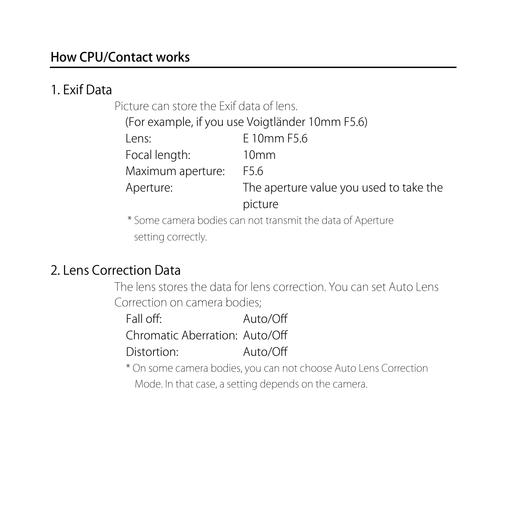## How CPU/Contact works

### 1. Exif Data

Picture can store the Exif data of lens.

| (For example, if you use Voigtländer 10mm F5.6) |                                         |  |
|-------------------------------------------------|-----------------------------------------|--|
| l ens:                                          | F 10mm F5.6                             |  |
| Focal length:                                   | 10 <sub>mm</sub>                        |  |
| Maximum aperture:                               | F56                                     |  |
| Aperture:                                       | The aperture value you used to take the |  |
|                                                 | picture                                 |  |
|                                                 |                                         |  |

 \* Some camera bodies can not transmit the data of Aperture setting correctly.

## 2. Lens Correction Data

The lens stores the data for lens correction. You can set Auto Lens Correction on camera bodies;

| Fall off:                      | Auto/Off |
|--------------------------------|----------|
| Chromatic Aberration: Auto/Off |          |
| Distortion:                    | Auto/Off |

\* On some camera bodies, you can not choose Auto Lens Correction Mode. In that case, a setting depends on the camera.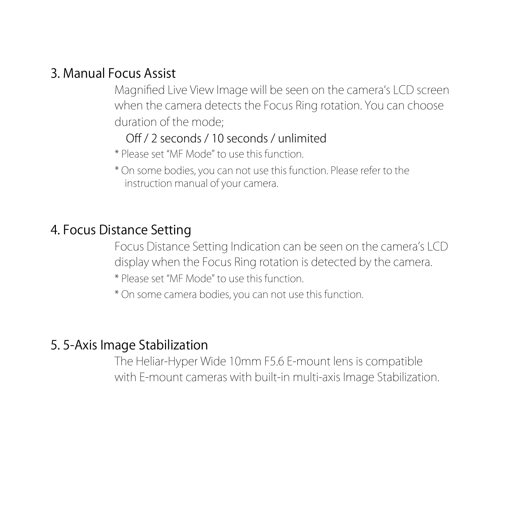## 3. Manual Focus Assist

Magnified Live View Image will be seen on the camera's LCD screen when the camera detects the Focus Ring rotation. You can choose duration of the mode;

#### Off / 2 seconds / 10 seconds / unlimited

- \* Please set "MF Mode" to use this function.
- \* On some bodies, you can not use this function. Please refer to the instruction manual of your camera.

#### 4. Focus Distance Setting

Focus Distance Setting Indication can be seen on the camera's LCD display when the Focus Ring rotation is detected by the camera.

- \* Please set "MF Mode" to use this function.
- \* On some camera bodies, you can not use this function.

#### 5. 5-Axis Image Stabilization

The Heliar-Hyper Wide 10mm F5.6 E-mount lens is compatible with E-mount cameras with built-in multi-axis Image Stabilization.